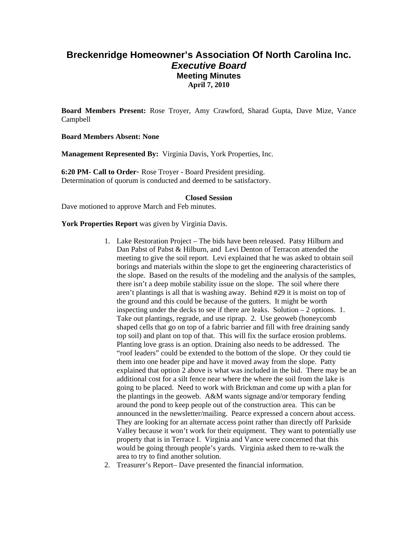# **Breckenridge Homeowner's Association Of North Carolina Inc.**  *Executive Board*  **Meeting Minutes April 7, 2010**

**Board Members Present:** Rose Troyer, Amy Crawford, Sharad Gupta, Dave Mize, Vance Campbell

**Board Members Absent: None** 

**Management Represented By:** Virginia Davis, York Properties, Inc.

**6:20 PM- Call to Order**- Rose Troyer - Board President presiding. Determination of quorum is conducted and deemed to be satisfactory.

#### **Closed Session**

Dave motioned to approve March and Feb minutes.

York Properties Report was given by Virginia Davis.

- 1. Lake Restoration Project The bids have been released. Patsy Hilburn and Dan Pabst of Pabst & Hilburn, and Levi Denton of Terracon attended the meeting to give the soil report. Levi explained that he was asked to obtain soil borings and materials within the slope to get the engineering characteristics of the slope. Based on the results of the modeling and the analysis of the samples, there isn't a deep mobile stability issue on the slope. The soil where there aren't plantings is all that is washing away. Behind #29 it is moist on top of the ground and this could be because of the gutters. It might be worth inspecting under the decks to see if there are leaks. Solution – 2 options. 1. Take out plantings, regrade, and use riprap. 2. Use geoweb (honeycomb shaped cells that go on top of a fabric barrier and fill with free draining sandy top soil) and plant on top of that. This will fix the surface erosion problems. Planting love grass is an option. Draining also needs to be addressed. The "roof leaders" could be extended to the bottom of the slope. Or they could tie them into one header pipe and have it moved away from the slope. Patty explained that option 2 above is what was included in the bid. There may be an additional cost for a silt fence near where the where the soil from the lake is going to be placed. Need to work with Brickman and come up with a plan for the plantings in the geoweb. A&M wants signage and/or temporary fending around the pond to keep people out of the construction area. This can be announced in the newsletter/mailing. Pearce expressed a concern about access. They are looking for an alternate access point rather than directly off Parkside Valley because it won't work for their equipment. They want to potentially use property that is in Terrace I. Virginia and Vance were concerned that this would be going through people's yards. Virginia asked them to re-walk the area to try to find another solution.
- 2. Treasurer's Report– Dave presented the financial information.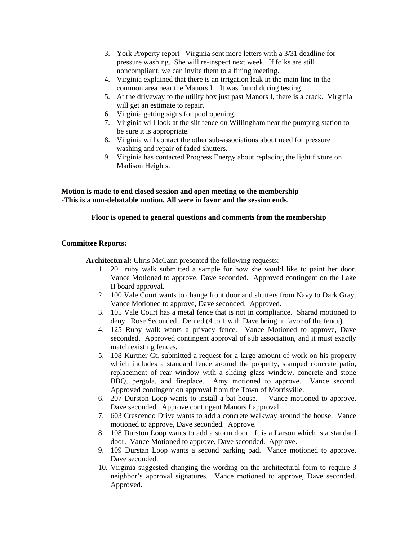- 3. York Property report –Virginia sent more letters with a 3/31 deadline for pressure washing. She will re-inspect next week. If folks are still noncompliant, we can invite them to a fining meeting.
- 4. Virginia explained that there is an irrigation leak in the main line in the common area near the Manors I . It was found during testing.
- 5. At the driveway to the utility box just past Manors I, there is a crack. Virginia will get an estimate to repair.
- 6. Virginia getting signs for pool opening.
- 7. Virginia will look at the silt fence on Willingham near the pumping station to be sure it is appropriate.
- 8. Virginia will contact the other sub-associations about need for pressure washing and repair of faded shutters.
- 9. Virginia has contacted Progress Energy about replacing the light fixture on Madison Heights.

**Motion is made to end closed session and open meeting to the membership -This is a non-debatable motion. All were in favor and the session ends.** 

# **Floor is opened to general questions and comments from the membership**

## **Committee Reports:**

Architectural: Chris McCann presented the following requests:

- 1. 201 ruby walk submitted a sample for how she would like to paint her door. Vance Motioned to approve, Dave seconded. Approved contingent on the Lake II board approval.
- 2. 100 Vale Court wants to change front door and shutters from Navy to Dark Gray. Vance Motioned to approve, Dave seconded. Approved.
- 3. 105 Vale Court has a metal fence that is not in compliance. Sharad motioned to deny. Rose Seconded. Denied (4 to 1 with Dave being in favor of the fence).
- 4. 125 Ruby walk wants a privacy fence. Vance Motioned to approve, Dave seconded. Approved contingent approval of sub association, and it must exactly match existing fences.
- 5. 108 Kurtner Ct. submitted a request for a large amount of work on his property which includes a standard fence around the property, stamped concrete patio, replacement of rear window with a sliding glass window, concrete and stone BBQ, pergola, and fireplace. Amy motioned to approve. Vance second. Approved contingent on approval from the Town of Morrisville.
- 6. 207 Durston Loop wants to install a bat house. Vance motioned to approve, Dave seconded. Approve contingent Manors I approval.
- 7. 603 Crescendo Drive wants to add a concrete walkway around the house. Vance motioned to approve, Dave seconded. Approve.
- 8. 108 Durston Loop wants to add a storm door. It is a Larson which is a standard door. Vance Motioned to approve, Dave seconded. Approve.
- 9. 109 Durstan Loop wants a second parking pad. Vance motioned to approve, Dave seconded.
- 10. Virginia suggested changing the wording on the architectural form to require 3 neighbor's approval signatures. Vance motioned to approve, Dave seconded. Approved.